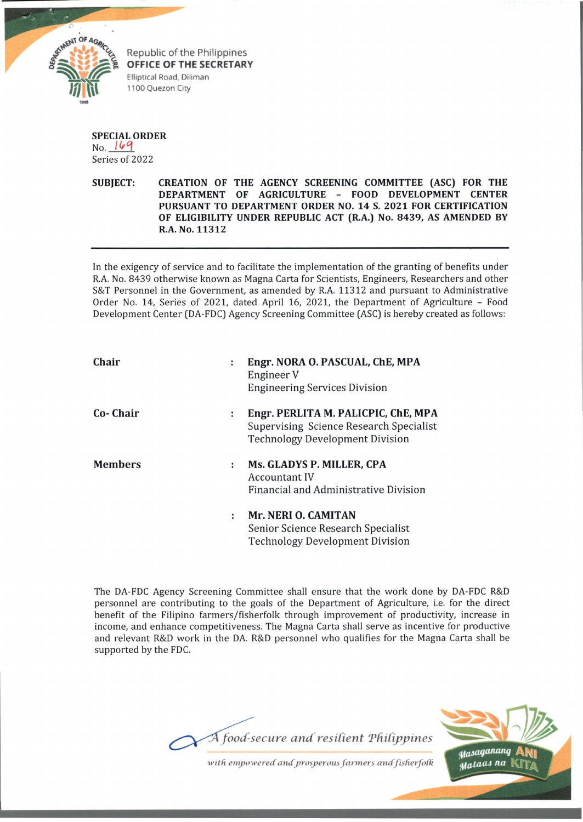

Republic of the Philippines OFFICE OF THE SECRETARY Elliptical Road, Diliman 1100 Quezon City

**SPECIAL ORDER** No. 169 Series of 2022

**SUBJECT: CREATION OF THE AGENCY SCREENING COMMITTEE (ASC) FOR THE DEPARTMENT OF AGRICULTURE - FOOD DEVELOPMENT CENTER PURSUANT TO DEPARTMENT ORDER NO. 14 S. 2021 FOR CERTIFICATION OF ELIGIBILITY UNDER REPUBLIC ACT (R.A.) No. 8439, AS AMENDED BY R.A. No. 11312**

In the exigency of service and to facilitate the implementation of the granting of benefits under R.A. No. 8439 otherwise known as Magna Carta for Scientists, Engineers, Researchers and other S&T Personnel in the Government, as amended by R.A. 11312 and pursuant to Administrative Order No. 14, Series of 2021, dated April 16, 2021, the Department of Agriculture - Food Development Center (DA-FDC) Agency Screening Committee (ASC) is hereby created as follows:

| Chair          | Engr. NORA O. PASCUAL, ChE, MPA<br>÷<br>Engineer V<br><b>Engineering Services Division</b>                                    |
|----------------|-------------------------------------------------------------------------------------------------------------------------------|
| Co- Chair      | Engr. PERLITA M. PALICPIC, ChE, MPA<br>÷<br>Supervising Science Research Specialist<br><b>Technology Development Division</b> |
| <b>Members</b> | Ms. GLADYS P. MILLER, CPA<br>÷<br><b>Accountant IV</b><br>Financial and Administrative Division                               |
|                | Mr. NERI O. CAMITAN<br>÷<br>Senior Science Research Specialist<br><b>Technology Development Division</b>                      |

The DA-FDC Agency Screening Committee shall ensure that the work done by DA-FDC R&D personnel are contributing to the goals of the Department of Agriculture, i.e. for the direct benefit of the Filipino farmers/fisherfolk through improvement of productivity, increase in income, and enhance competitiveness. The Magna Carta shall serve as incentive for productive and relevant R&D work in the DA. R&D personnel who qualifies for the Magna Carta shall be supported by the FDC.





*with empowered and prosperous farmers and fisherfolk*